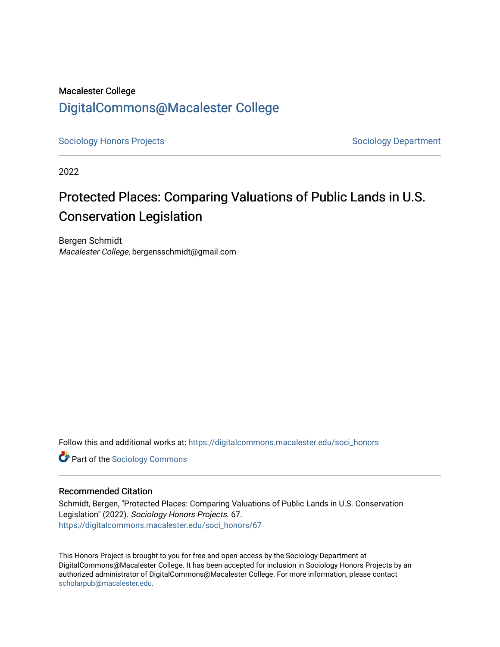# Macalester College [DigitalCommons@Macalester College](https://digitalcommons.macalester.edu/)

[Sociology Honors Projects](https://digitalcommons.macalester.edu/soci_honors) **Sociology Department** 

2022

# Protected Places: Comparing Valuations of Public Lands in U.S. Conservation Legislation

Bergen Schmidt Macalester College, bergensschmidt@gmail.com

Follow this and additional works at: [https://digitalcommons.macalester.edu/soci\\_honors](https://digitalcommons.macalester.edu/soci_honors?utm_source=digitalcommons.macalester.edu%2Fsoci_honors%2F67&utm_medium=PDF&utm_campaign=PDFCoverPages)

**Part of the [Sociology Commons](https://network.bepress.com/hgg/discipline/416?utm_source=digitalcommons.macalester.edu%2Fsoci_honors%2F67&utm_medium=PDF&utm_campaign=PDFCoverPages)** 

# Recommended Citation

Schmidt, Bergen, "Protected Places: Comparing Valuations of Public Lands in U.S. Conservation Legislation" (2022). Sociology Honors Projects. 67. [https://digitalcommons.macalester.edu/soci\\_honors/67](https://digitalcommons.macalester.edu/soci_honors/67?utm_source=digitalcommons.macalester.edu%2Fsoci_honors%2F67&utm_medium=PDF&utm_campaign=PDFCoverPages) 

This Honors Project is brought to you for free and open access by the Sociology Department at DigitalCommons@Macalester College. It has been accepted for inclusion in Sociology Honors Projects by an authorized administrator of DigitalCommons@Macalester College. For more information, please contact [scholarpub@macalester.edu](mailto:scholarpub@macalester.edu).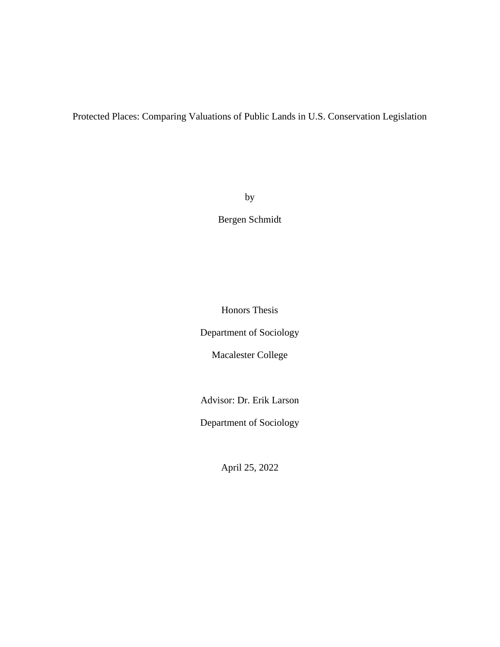Protected Places: Comparing Valuations of Public Lands in U.S. Conservation Legislation

by

Bergen Schmidt

Honors Thesis

Department of Sociology

Macalester College

Advisor: Dr. Erik Larson

Department of Sociology

April 25, 2022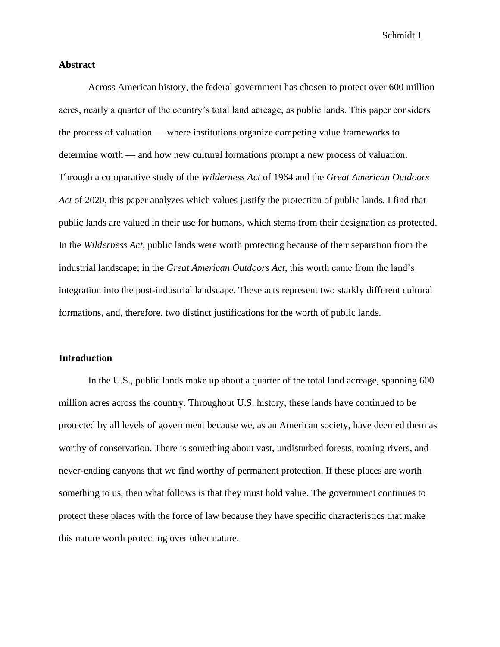# **Abstract**

Across American history, the federal government has chosen to protect over 600 million acres, nearly a quarter of the country's total land acreage, as public lands. This paper considers the process of valuation — where institutions organize competing value frameworks to determine worth — and how new cultural formations prompt a new process of valuation. Through a comparative study of the *Wilderness Act* of 1964 and the *Great American Outdoors Act* of 2020, this paper analyzes which values justify the protection of public lands. I find that public lands are valued in their use for humans, which stems from their designation as protected. In the *Wilderness Act*, public lands were worth protecting because of their separation from the industrial landscape; in the *Great American Outdoors Act*, this worth came from the land's integration into the post-industrial landscape. These acts represent two starkly different cultural formations, and, therefore, two distinct justifications for the worth of public lands.

# **Introduction**

In the U.S., public lands make up about a quarter of the total land acreage, spanning 600 million acres across the country. Throughout U.S. history, these lands have continued to be protected by all levels of government because we, as an American society, have deemed them as worthy of conservation. There is something about vast, undisturbed forests, roaring rivers, and never-ending canyons that we find worthy of permanent protection. If these places are worth something to us, then what follows is that they must hold value. The government continues to protect these places with the force of law because they have specific characteristics that make this nature worth protecting over other nature.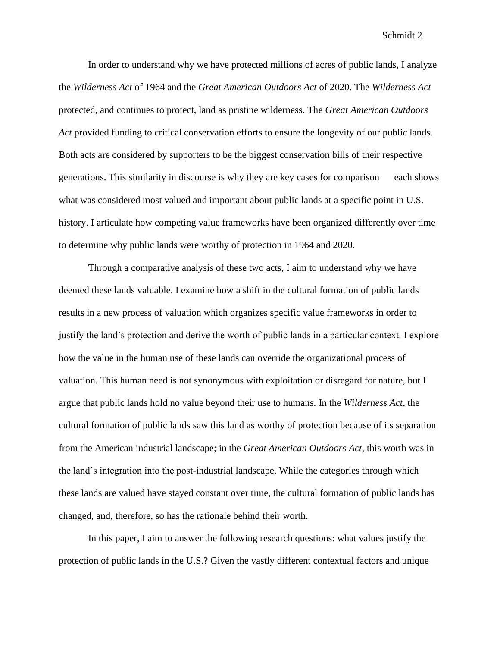In order to understand why we have protected millions of acres of public lands, I analyze the *Wilderness Act* of 1964 and the *Great American Outdoors Act* of 2020. The *Wilderness Act*  protected, and continues to protect, land as pristine wilderness. The *Great American Outdoors Act* provided funding to critical conservation efforts to ensure the longevity of our public lands. Both acts are considered by supporters to be the biggest conservation bills of their respective generations. This similarity in discourse is why they are key cases for comparison — each shows what was considered most valued and important about public lands at a specific point in U.S. history. I articulate how competing value frameworks have been organized differently over time to determine why public lands were worthy of protection in 1964 and 2020.

Through a comparative analysis of these two acts, I aim to understand why we have deemed these lands valuable. I examine how a shift in the cultural formation of public lands results in a new process of valuation which organizes specific value frameworks in order to justify the land's protection and derive the worth of public lands in a particular context. I explore how the value in the human use of these lands can override the organizational process of valuation. This human need is not synonymous with exploitation or disregard for nature, but I argue that public lands hold no value beyond their use to humans. In the *Wilderness Act*, the cultural formation of public lands saw this land as worthy of protection because of its separation from the American industrial landscape; in the *Great American Outdoors Act,* this worth was in the land's integration into the post-industrial landscape. While the categories through which these lands are valued have stayed constant over time, the cultural formation of public lands has changed, and, therefore, so has the rationale behind their worth.

In this paper, I aim to answer the following research questions: what values justify the protection of public lands in the U.S.? Given the vastly different contextual factors and unique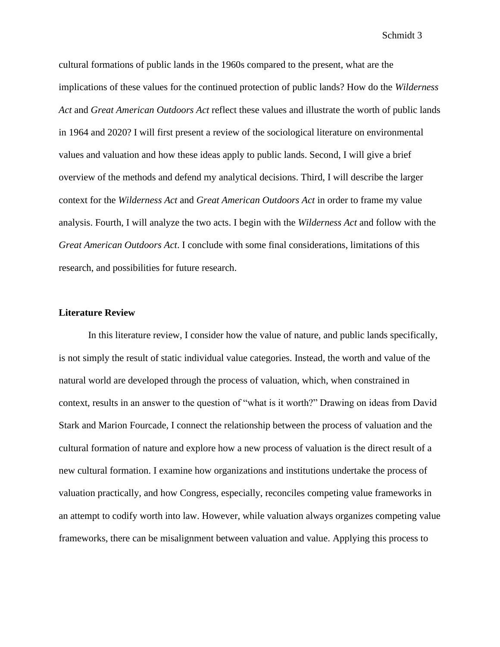cultural formations of public lands in the 1960s compared to the present, what are the implications of these values for the continued protection of public lands? How do the *Wilderness Act* and *Great American Outdoors Act* reflect these values and illustrate the worth of public lands in 1964 and 2020? I will first present a review of the sociological literature on environmental values and valuation and how these ideas apply to public lands. Second, I will give a brief overview of the methods and defend my analytical decisions. Third, I will describe the larger context for the *Wilderness Act* and *Great American Outdoors Act* in order to frame my value analysis. Fourth, I will analyze the two acts. I begin with the *Wilderness Act* and follow with the *Great American Outdoors Act*. I conclude with some final considerations, limitations of this research, and possibilities for future research.

# **Literature Review**

In this literature review, I consider how the value of nature, and public lands specifically, is not simply the result of static individual value categories. Instead, the worth and value of the natural world are developed through the process of valuation, which, when constrained in context, results in an answer to the question of "what is it worth?" Drawing on ideas from David Stark and Marion Fourcade, I connect the relationship between the process of valuation and the cultural formation of nature and explore how a new process of valuation is the direct result of a new cultural formation. I examine how organizations and institutions undertake the process of valuation practically, and how Congress, especially, reconciles competing value frameworks in an attempt to codify worth into law. However, while valuation always organizes competing value frameworks, there can be misalignment between valuation and value. Applying this process to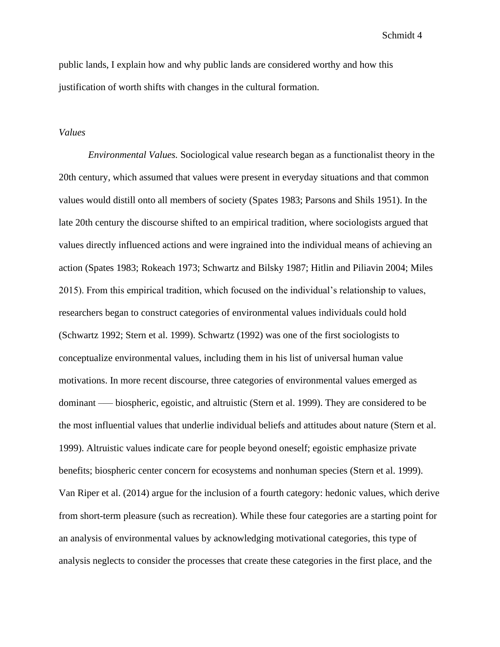public lands, I explain how and why public lands are considered worthy and how this justification of worth shifts with changes in the cultural formation.

# *Values*

*Environmental Values.* Sociological value research began as a functionalist theory in the 20th century, which assumed that values were present in everyday situations and that common values would distill onto all members of society (Spates 1983; Parsons and Shils 1951). In the late 20th century the discourse shifted to an empirical tradition, where sociologists argued that values directly influenced actions and were ingrained into the individual means of achieving an action (Spates 1983; Rokeach 1973; Schwartz and Bilsky 1987; Hitlin and Piliavin 2004; Miles 2015). From this empirical tradition, which focused on the individual's relationship to values, researchers began to construct categories of environmental values individuals could hold (Schwartz 1992; Stern et al. 1999). Schwartz (1992) was one of the first sociologists to conceptualize environmental values, including them in his list of universal human value motivations. In more recent discourse, three categories of environmental values emerged as dominant — biospheric, egoistic, and altruistic (Stern et al. 1999). They are considered to be the most influential values that underlie individual beliefs and attitudes about nature (Stern et al. 1999). Altruistic values indicate care for people beyond oneself; egoistic emphasize private benefits; biospheric center concern for ecosystems and nonhuman species (Stern et al. 1999). Van Riper et al. (2014) argue for the inclusion of a fourth category: hedonic values, which derive from short-term pleasure (such as recreation). While these four categories are a starting point for an analysis of environmental values by acknowledging motivational categories, this type of analysis neglects to consider the processes that create these categories in the first place, and the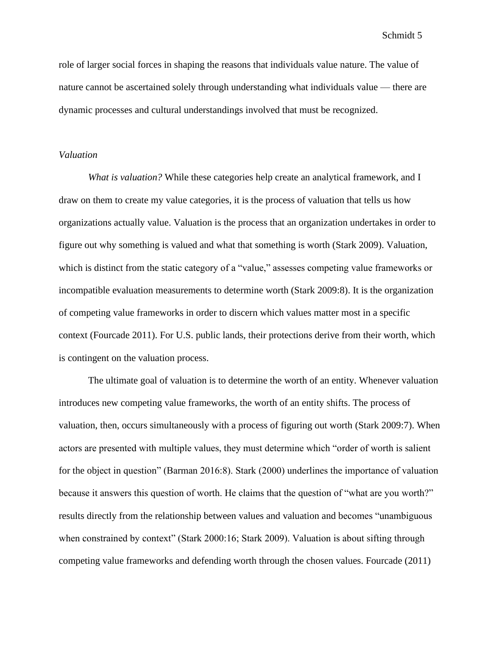role of larger social forces in shaping the reasons that individuals value nature. The value of nature cannot be ascertained solely through understanding what individuals value — there are dynamic processes and cultural understandings involved that must be recognized.

# *Valuation*

*What is valuation?* While these categories help create an analytical framework, and I draw on them to create my value categories, it is the process of valuation that tells us how organizations actually value. Valuation is the process that an organization undertakes in order to figure out why something is valued and what that something is worth (Stark 2009). Valuation, which is distinct from the static category of a "value," assesses competing value frameworks or incompatible evaluation measurements to determine worth (Stark 2009:8). It is the organization of competing value frameworks in order to discern which values matter most in a specific context (Fourcade 2011). For U.S. public lands, their protections derive from their worth, which is contingent on the valuation process.

The ultimate goal of valuation is to determine the worth of an entity. Whenever valuation introduces new competing value frameworks, the worth of an entity shifts. The process of valuation, then, occurs simultaneously with a process of figuring out worth (Stark 2009:7). When actors are presented with multiple values, they must determine which "order of worth is salient for the object in question" (Barman 2016:8). Stark (2000) underlines the importance of valuation because it answers this question of worth. He claims that the question of "what are you worth?" results directly from the relationship between values and valuation and becomes "unambiguous when constrained by context" (Stark 2000:16; Stark 2009). Valuation is about sifting through competing value frameworks and defending worth through the chosen values. Fourcade (2011)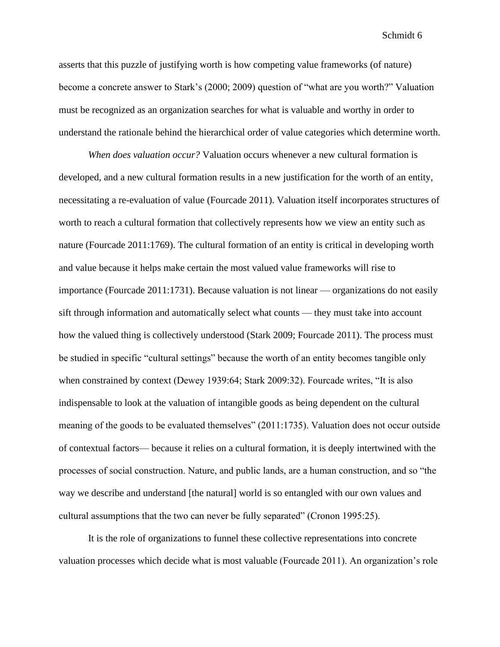asserts that this puzzle of justifying worth is how competing value frameworks (of nature) become a concrete answer to Stark's (2000; 2009) question of "what are you worth?" Valuation must be recognized as an organization searches for what is valuable and worthy in order to understand the rationale behind the hierarchical order of value categories which determine worth.

*When does valuation occur?* Valuation occurs whenever a new cultural formation is developed, and a new cultural formation results in a new justification for the worth of an entity, necessitating a re-evaluation of value (Fourcade 2011). Valuation itself incorporates structures of worth to reach a cultural formation that collectively represents how we view an entity such as nature (Fourcade 2011:1769). The cultural formation of an entity is critical in developing worth and value because it helps make certain the most valued value frameworks will rise to importance (Fourcade 2011:1731). Because valuation is not linear — organizations do not easily sift through information and automatically select what counts — they must take into account how the valued thing is collectively understood (Stark 2009; Fourcade 2011). The process must be studied in specific "cultural settings" because the worth of an entity becomes tangible only when constrained by context (Dewey 1939:64; Stark 2009:32). Fourcade writes, "It is also indispensable to look at the valuation of intangible goods as being dependent on the cultural meaning of the goods to be evaluated themselves" (2011:1735). Valuation does not occur outside of contextual factors— because it relies on a cultural formation, it is deeply intertwined with the processes of social construction. Nature, and public lands, are a human construction, and so "the way we describe and understand [the natural] world is so entangled with our own values and cultural assumptions that the two can never be fully separated" (Cronon 1995:25).

It is the role of organizations to funnel these collective representations into concrete valuation processes which decide what is most valuable (Fourcade 2011). An organization's role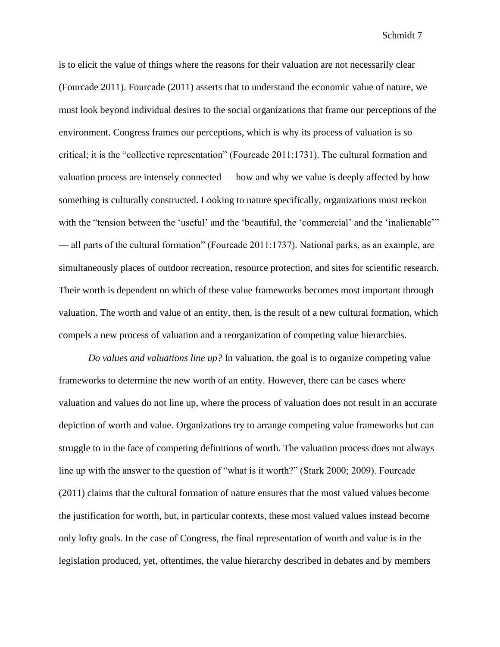is to elicit the value of things where the reasons for their valuation are not necessarily clear (Fourcade 2011). Fourcade (2011) asserts that to understand the economic value of nature, we must look beyond individual desires to the social organizations that frame our perceptions of the environment. Congress frames our perceptions, which is why its process of valuation is so critical; it is the "collective representation" (Fourcade 2011:1731). The cultural formation and valuation process are intensely connected — how and why we value is deeply affected by how something is culturally constructed. Looking to nature specifically, organizations must reckon with the "tension between the 'useful' and the 'beautiful, the 'commercial' and the 'inalienable'" — all parts of the cultural formation" (Fourcade 2011:1737). National parks, as an example, are simultaneously places of outdoor recreation, resource protection, and sites for scientific research. Their worth is dependent on which of these value frameworks becomes most important through valuation. The worth and value of an entity, then, is the result of a new cultural formation, which compels a new process of valuation and a reorganization of competing value hierarchies.

*Do values and valuations line up?* In valuation, the goal is to organize competing value frameworks to determine the new worth of an entity. However, there can be cases where valuation and values do not line up, where the process of valuation does not result in an accurate depiction of worth and value. Organizations try to arrange competing value frameworks but can struggle to in the face of competing definitions of worth. The valuation process does not always line up with the answer to the question of "what is it worth?" (Stark 2000; 2009). Fourcade (2011) claims that the cultural formation of nature ensures that the most valued values become the justification for worth, but, in particular contexts, these most valued values instead become only lofty goals. In the case of Congress, the final representation of worth and value is in the legislation produced, yet, oftentimes, the value hierarchy described in debates and by members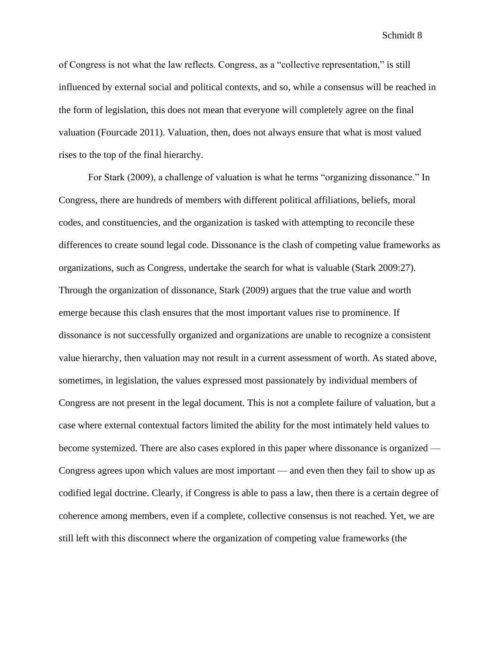of Congress is not what the law reflects. Congress, as a "collective representation," is still influenced by external social and political contexts, and so, while a consensus will be reached in the form of legislation, this does not mean that everyone will completely agree on the final valuation (Fourcade 2011). Valuation, then, does not always ensure that what is most valued rises to the top of the final hierarchy.

For Stark (2009), a challenge of valuation is what he terms "organizing dissonance." In Congress, there are hundreds of members with different political affiliations, beliefs, moral codes, and constituencies, and the organization is tasked with attempting to reconcile these differences to create sound legal code. Dissonance is the clash of competing value frameworks as organizations, such as Congress, undertake the search for what is valuable (Stark 2009:27). Through the organization of dissonance, Stark (2009) argues that the true value and worth emerge because this clash ensures that the most important values rise to prominence. If dissonance is not successfully organized and organizations are unable to recognize a consistent value hierarchy, then valuation may not result in a current assessment of worth. As stated above, sometimes, in legislation, the values expressed most passionately by individual members of Congress are not present in the legal document. This is not a complete failure of valuation, but a case where external contextual factors limited the ability for the most intimately held values to become systemized. There are also cases explored in this paper where dissonance is organized — Congress agrees upon which values are most important — and even then they fail to show up as codified legal doctrine. Clearly, if Congress is able to pass a law, then there is a certain degree of coherence among members, even if a complete, collective consensus is not reached. Yet, we are still left with this disconnect where the organization of competing value frameworks (the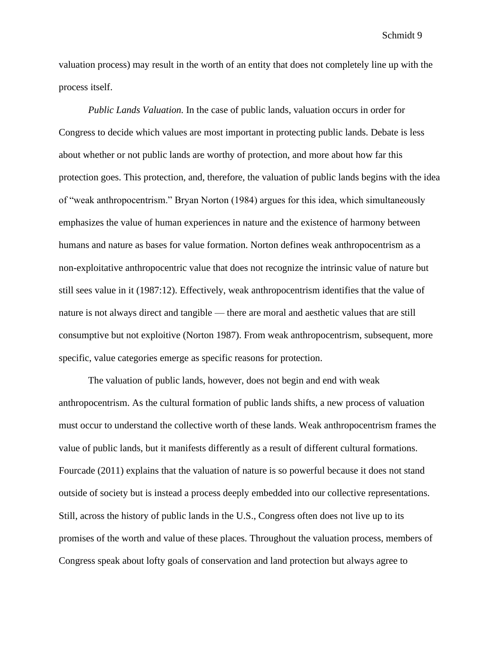valuation process) may result in the worth of an entity that does not completely line up with the process itself.

*Public Lands Valuation.* In the case of public lands, valuation occurs in order for Congress to decide which values are most important in protecting public lands. Debate is less about whether or not public lands are worthy of protection, and more about how far this protection goes. This protection, and, therefore, the valuation of public lands begins with the idea of "weak anthropocentrism." Bryan Norton (1984) argues for this idea, which simultaneously emphasizes the value of human experiences in nature and the existence of harmony between humans and nature as bases for value formation. Norton defines weak anthropocentrism as a non-exploitative anthropocentric value that does not recognize the intrinsic value of nature but still sees value in it (1987:12). Effectively, weak anthropocentrism identifies that the value of nature is not always direct and tangible — there are moral and aesthetic values that are still consumptive but not exploitive (Norton 1987). From weak anthropocentrism, subsequent, more specific, value categories emerge as specific reasons for protection.

The valuation of public lands, however, does not begin and end with weak anthropocentrism. As the cultural formation of public lands shifts, a new process of valuation must occur to understand the collective worth of these lands. Weak anthropocentrism frames the value of public lands, but it manifests differently as a result of different cultural formations. Fourcade (2011) explains that the valuation of nature is so powerful because it does not stand outside of society but is instead a process deeply embedded into our collective representations. Still, across the history of public lands in the U.S., Congress often does not live up to its promises of the worth and value of these places. Throughout the valuation process, members of Congress speak about lofty goals of conservation and land protection but always agree to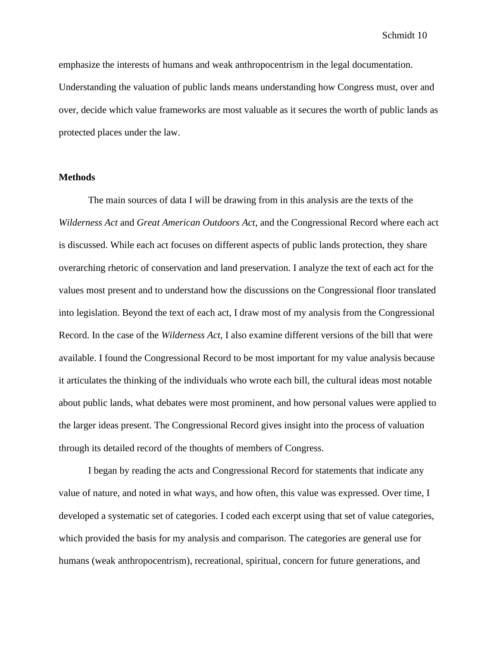emphasize the interests of humans and weak anthropocentrism in the legal documentation. Understanding the valuation of public lands means understanding how Congress must, over and over, decide which value frameworks are most valuable as it secures the worth of public lands as protected places under the law.

### **Methods**

The main sources of data I will be drawing from in this analysis are the texts of the *Wilderness Act* and *Great American Outdoors Act*, and the Congressional Record where each act is discussed. While each act focuses on different aspects of public lands protection, they share overarching rhetoric of conservation and land preservation. I analyze the text of each act for the values most present and to understand how the discussions on the Congressional floor translated into legislation. Beyond the text of each act, I draw most of my analysis from the Congressional Record. In the case of the *Wilderness Act*, I also examine different versions of the bill that were available. I found the Congressional Record to be most important for my value analysis because it articulates the thinking of the individuals who wrote each bill, the cultural ideas most notable about public lands, what debates were most prominent, and how personal values were applied to the larger ideas present. The Congressional Record gives insight into the process of valuation through its detailed record of the thoughts of members of Congress.

I began by reading the acts and Congressional Record for statements that indicate any value of nature, and noted in what ways, and how often, this value was expressed. Over time, I developed a systematic set of categories. I coded each excerpt using that set of value categories, which provided the basis for my analysis and comparison. The categories are general use for humans (weak anthropocentrism), recreational, spiritual, concern for future generations, and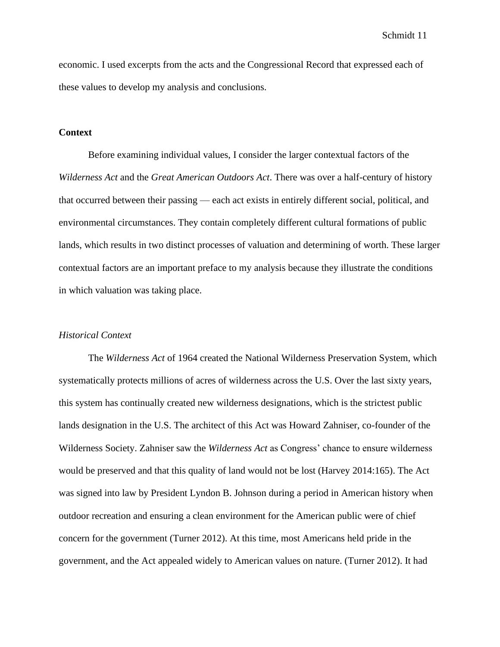economic. I used excerpts from the acts and the Congressional Record that expressed each of these values to develop my analysis and conclusions.

# **Context**

Before examining individual values, I consider the larger contextual factors of the *Wilderness Act* and the *Great American Outdoors Act*. There was over a half-century of history that occurred between their passing — each act exists in entirely different social, political, and environmental circumstances. They contain completely different cultural formations of public lands, which results in two distinct processes of valuation and determining of worth. These larger contextual factors are an important preface to my analysis because they illustrate the conditions in which valuation was taking place.

# *Historical Context*

The *Wilderness Act* of 1964 created the National Wilderness Preservation System, which systematically protects millions of acres of wilderness across the U.S. Over the last sixty years, this system has continually created new wilderness designations, which is the strictest public lands designation in the U.S. The architect of this Act was Howard Zahniser, co-founder of the Wilderness Society. Zahniser saw the *Wilderness Act* as Congress' chance to ensure wilderness would be preserved and that this quality of land would not be lost (Harvey 2014:165). The Act was signed into law by President Lyndon B. Johnson during a period in American history when outdoor recreation and ensuring a clean environment for the American public were of chief concern for the government (Turner 2012). At this time, most Americans held pride in the government, and the Act appealed widely to American values on nature. (Turner 2012). It had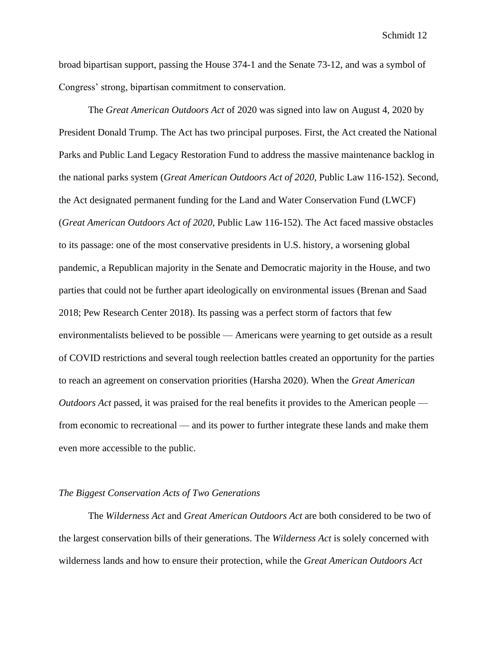broad bipartisan support, passing the House 374-1 and the Senate 73-12, and was a symbol of Congress' strong, bipartisan commitment to conservation.

The *Great American Outdoors Act* of 2020 was signed into law on August 4, 2020 by President Donald Trump. The Act has two principal purposes. First, the Act created the National Parks and Public Land Legacy Restoration Fund to address the massive maintenance backlog in the national parks system (*Great American Outdoors Act of 2020*, Public Law 116-152). Second, the Act designated permanent funding for the Land and Water Conservation Fund (LWCF) (*Great American Outdoors Act of 2020*, Public Law 116-152). The Act faced massive obstacles to its passage: one of the most conservative presidents in U.S. history, a worsening global pandemic, a Republican majority in the Senate and Democratic majority in the House, and two parties that could not be further apart ideologically on environmental issues (Brenan and Saad 2018; Pew Research Center 2018). Its passing was a perfect storm of factors that few environmentalists believed to be possible — Americans were yearning to get outside as a result of COVID restrictions and several tough reelection battles created an opportunity for the parties to reach an agreement on conservation priorities (Harsha 2020). When the *Great American Outdoors Act* passed, it was praised for the real benefits it provides to the American people from economic to recreational — and its power to further integrate these lands and make them even more accessible to the public.

# *The Biggest Conservation Acts of Two Generations*

The *Wilderness Act* and *Great American Outdoors Act* are both considered to be two of the largest conservation bills of their generations. The *Wilderness Act* is solely concerned with wilderness lands and how to ensure their protection, while the *Great American Outdoors Act*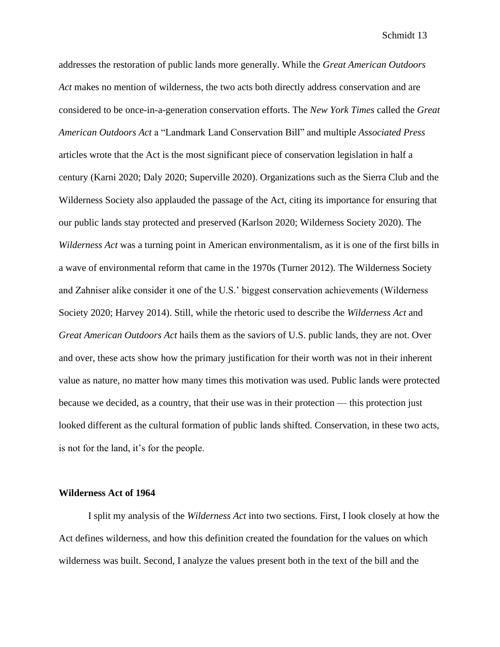addresses the restoration of public lands more generally. While the *Great American Outdoors*  Act makes no mention of wilderness, the two acts both directly address conservation and are considered to be once-in-a-generation conservation efforts. The *New York Times* called the *Great American Outdoors Act* a "Landmark Land Conservation Bill" and multiple *Associated Press* articles wrote that the Act is the most significant piece of conservation legislation in half a century (Karni 2020; Daly 2020; Superville 2020). Organizations such as the Sierra Club and the Wilderness Society also applauded the passage of the Act, citing its importance for ensuring that our public lands stay protected and preserved (Karlson 2020; Wilderness Society 2020). The *Wilderness Act* was a turning point in American environmentalism, as it is one of the first bills in a wave of environmental reform that came in the 1970s (Turner 2012). The Wilderness Society and Zahniser alike consider it one of the U.S.' biggest conservation achievements (Wilderness Society 2020; Harvey 2014). Still, while the rhetoric used to describe the *Wilderness Act* and *Great American Outdoors Act* hails them as the saviors of U.S. public lands, they are not. Over and over, these acts show how the primary justification for their worth was not in their inherent value as nature, no matter how many times this motivation was used. Public lands were protected because we decided, as a country, that their use was in their protection — this protection just looked different as the cultural formation of public lands shifted. Conservation, in these two acts, is not for the land, it's for the people.

#### **Wilderness Act of 1964**

I split my analysis of the *Wilderness Act* into two sections. First, I look closely at how the Act defines wilderness, and how this definition created the foundation for the values on which wilderness was built. Second, I analyze the values present both in the text of the bill and the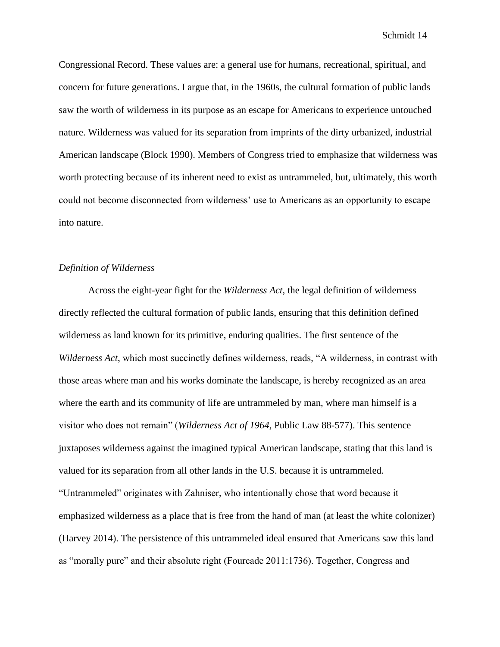Congressional Record. These values are: a general use for humans, recreational, spiritual, and concern for future generations. I argue that, in the 1960s, the cultural formation of public lands saw the worth of wilderness in its purpose as an escape for Americans to experience untouched nature. Wilderness was valued for its separation from imprints of the dirty urbanized, industrial American landscape (Block 1990). Members of Congress tried to emphasize that wilderness was worth protecting because of its inherent need to exist as untrammeled, but, ultimately, this worth could not become disconnected from wilderness' use to Americans as an opportunity to escape into nature.

# *Definition of Wilderness*

Across the eight-year fight for the *Wilderness Act*, the legal definition of wilderness directly reflected the cultural formation of public lands, ensuring that this definition defined wilderness as land known for its primitive, enduring qualities. The first sentence of the *Wilderness Act*, which most succinctly defines wilderness, reads, "A wilderness, in contrast with those areas where man and his works dominate the landscape, is hereby recognized as an area where the earth and its community of life are untrammeled by man, where man himself is a visitor who does not remain" (*Wilderness Act of 1964*, Public Law 88-577). This sentence juxtaposes wilderness against the imagined typical American landscape, stating that this land is valued for its separation from all other lands in the U.S. because it is untrammeled. "Untrammeled" originates with Zahniser, who intentionally chose that word because it emphasized wilderness as a place that is free from the hand of man (at least the white colonizer) (Harvey 2014). The persistence of this untrammeled ideal ensured that Americans saw this land as "morally pure" and their absolute right (Fourcade 2011:1736). Together, Congress and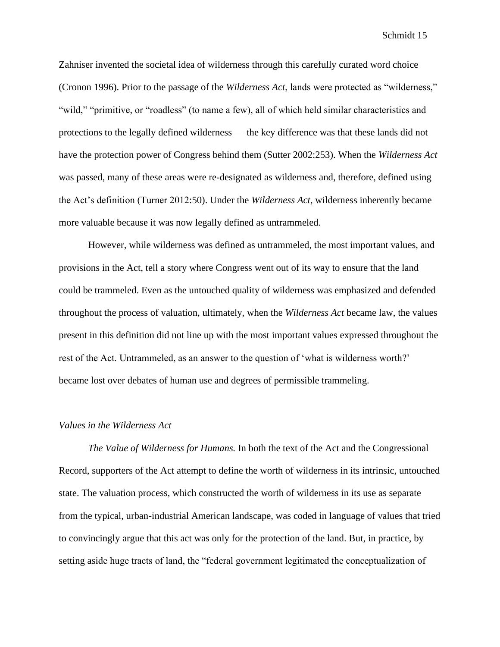Zahniser invented the societal idea of wilderness through this carefully curated word choice (Cronon 1996). Prior to the passage of the *Wilderness Act*, lands were protected as "wilderness," "wild," "primitive, or "roadless" (to name a few), all of which held similar characteristics and protections to the legally defined wilderness — the key difference was that these lands did not have the protection power of Congress behind them (Sutter 2002:253). When the *Wilderness Act*  was passed, many of these areas were re-designated as wilderness and, therefore, defined using the Act's definition (Turner 2012:50). Under the *Wilderness Act*, wilderness inherently became more valuable because it was now legally defined as untrammeled.

However, while wilderness was defined as untrammeled, the most important values, and provisions in the Act, tell a story where Congress went out of its way to ensure that the land could be trammeled. Even as the untouched quality of wilderness was emphasized and defended throughout the process of valuation, ultimately, when the *Wilderness Act* became law, the values present in this definition did not line up with the most important values expressed throughout the rest of the Act. Untrammeled, as an answer to the question of 'what is wilderness worth?' became lost over debates of human use and degrees of permissible trammeling.

# *Values in the Wilderness Act*

*The Value of Wilderness for Humans.* In both the text of the Act and the Congressional Record, supporters of the Act attempt to define the worth of wilderness in its intrinsic, untouched state. The valuation process, which constructed the worth of wilderness in its use as separate from the typical, urban-industrial American landscape, was coded in language of values that tried to convincingly argue that this act was only for the protection of the land. But, in practice, by setting aside huge tracts of land, the "federal government legitimated the conceptualization of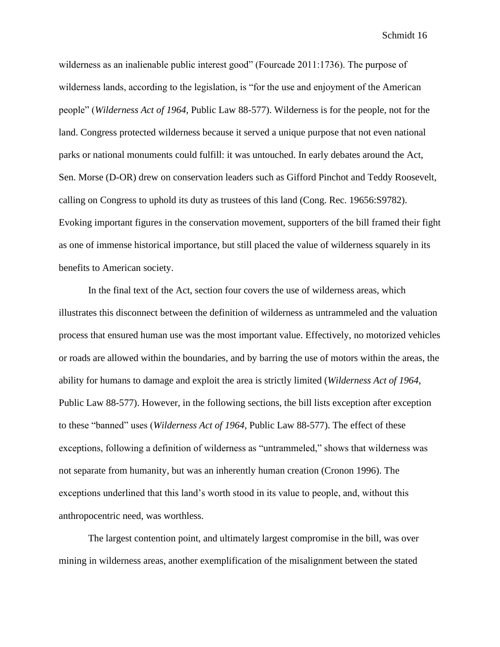wilderness as an inalienable public interest good" (Fourcade 2011:1736). The purpose of wilderness lands, according to the legislation, is "for the use and enjoyment of the American people" (*Wilderness Act of 1964*, Public Law 88-577). Wilderness is for the people, not for the land. Congress protected wilderness because it served a unique purpose that not even national parks or national monuments could fulfill: it was untouched. In early debates around the Act, Sen. Morse (D-OR) drew on conservation leaders such as Gifford Pinchot and Teddy Roosevelt, calling on Congress to uphold its duty as trustees of this land (Cong. Rec. 19656:S9782). Evoking important figures in the conservation movement, supporters of the bill framed their fight as one of immense historical importance, but still placed the value of wilderness squarely in its benefits to American society.

In the final text of the Act, section four covers the use of wilderness areas, which illustrates this disconnect between the definition of wilderness as untrammeled and the valuation process that ensured human use was the most important value. Effectively, no motorized vehicles or roads are allowed within the boundaries, and by barring the use of motors within the areas, the ability for humans to damage and exploit the area is strictly limited (*Wilderness Act of 1964*, Public Law 88-577). However, in the following sections, the bill lists exception after exception to these "banned" uses (*Wilderness Act of 1964*, Public Law 88-577). The effect of these exceptions, following a definition of wilderness as "untrammeled," shows that wilderness was not separate from humanity, but was an inherently human creation (Cronon 1996). The exceptions underlined that this land's worth stood in its value to people, and, without this anthropocentric need, was worthless.

The largest contention point, and ultimately largest compromise in the bill, was over mining in wilderness areas, another exemplification of the misalignment between the stated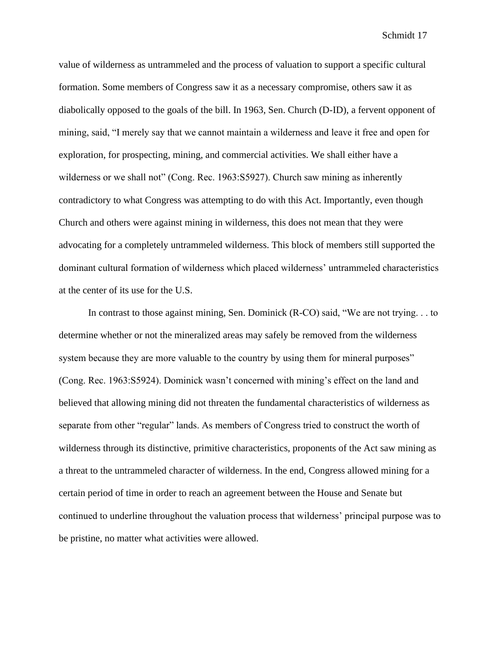value of wilderness as untrammeled and the process of valuation to support a specific cultural formation. Some members of Congress saw it as a necessary compromise, others saw it as diabolically opposed to the goals of the bill. In 1963, Sen. Church (D-ID), a fervent opponent of mining, said, "I merely say that we cannot maintain a wilderness and leave it free and open for exploration, for prospecting, mining, and commercial activities. We shall either have a wilderness or we shall not" (Cong. Rec. 1963:S5927). Church saw mining as inherently contradictory to what Congress was attempting to do with this Act. Importantly, even though Church and others were against mining in wilderness, this does not mean that they were advocating for a completely untrammeled wilderness. This block of members still supported the dominant cultural formation of wilderness which placed wilderness' untrammeled characteristics at the center of its use for the U.S.

In contrast to those against mining, Sen. Dominick (R-CO) said, "We are not trying. . . to determine whether or not the mineralized areas may safely be removed from the wilderness system because they are more valuable to the country by using them for mineral purposes" (Cong. Rec. 1963:S5924). Dominick wasn't concerned with mining's effect on the land and believed that allowing mining did not threaten the fundamental characteristics of wilderness as separate from other "regular" lands. As members of Congress tried to construct the worth of wilderness through its distinctive, primitive characteristics, proponents of the Act saw mining as a threat to the untrammeled character of wilderness. In the end, Congress allowed mining for a certain period of time in order to reach an agreement between the House and Senate but continued to underline throughout the valuation process that wilderness' principal purpose was to be pristine, no matter what activities were allowed.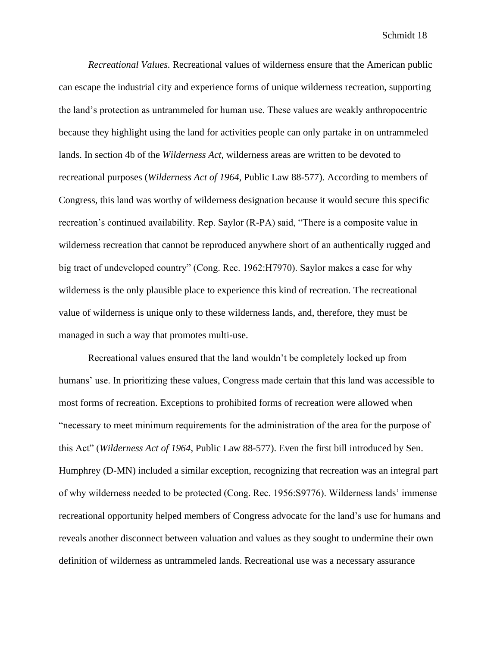*Recreational Values.* Recreational values of wilderness ensure that the American public can escape the industrial city and experience forms of unique wilderness recreation, supporting the land's protection as untrammeled for human use. These values are weakly anthropocentric because they highlight using the land for activities people can only partake in on untrammeled lands. In section 4b of the *Wilderness Act*, wilderness areas are written to be devoted to recreational purposes (*Wilderness Act of 1964*, Public Law 88-577). According to members of Congress, this land was worthy of wilderness designation because it would secure this specific recreation's continued availability. Rep. Saylor (R-PA) said, "There is a composite value in wilderness recreation that cannot be reproduced anywhere short of an authentically rugged and big tract of undeveloped country" (Cong. Rec. 1962:H7970). Saylor makes a case for why wilderness is the only plausible place to experience this kind of recreation. The recreational value of wilderness is unique only to these wilderness lands, and, therefore, they must be managed in such a way that promotes multi-use.

Recreational values ensured that the land wouldn't be completely locked up from humans' use. In prioritizing these values, Congress made certain that this land was accessible to most forms of recreation. Exceptions to prohibited forms of recreation were allowed when "necessary to meet minimum requirements for the administration of the area for the purpose of this Act" (*Wilderness Act of 1964*, Public Law 88-577). Even the first bill introduced by Sen. Humphrey (D-MN) included a similar exception, recognizing that recreation was an integral part of why wilderness needed to be protected (Cong. Rec. 1956:S9776). Wilderness lands' immense recreational opportunity helped members of Congress advocate for the land's use for humans and reveals another disconnect between valuation and values as they sought to undermine their own definition of wilderness as untrammeled lands. Recreational use was a necessary assurance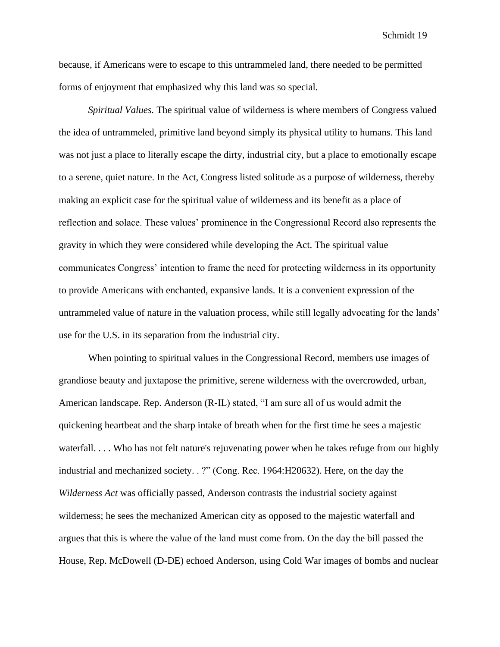because, if Americans were to escape to this untrammeled land, there needed to be permitted forms of enjoyment that emphasized why this land was so special.

*Spiritual Values.* The spiritual value of wilderness is where members of Congress valued the idea of untrammeled, primitive land beyond simply its physical utility to humans. This land was not just a place to literally escape the dirty, industrial city, but a place to emotionally escape to a serene, quiet nature. In the Act, Congress listed solitude as a purpose of wilderness, thereby making an explicit case for the spiritual value of wilderness and its benefit as a place of reflection and solace. These values' prominence in the Congressional Record also represents the gravity in which they were considered while developing the Act. The spiritual value communicates Congress' intention to frame the need for protecting wilderness in its opportunity to provide Americans with enchanted, expansive lands. It is a convenient expression of the untrammeled value of nature in the valuation process, while still legally advocating for the lands' use for the U.S. in its separation from the industrial city.

When pointing to spiritual values in the Congressional Record, members use images of grandiose beauty and juxtapose the primitive, serene wilderness with the overcrowded, urban, American landscape. Rep. Anderson (R-IL) stated, "I am sure all of us would admit the quickening heartbeat and the sharp intake of breath when for the first time he sees a majestic waterfall. . . . Who has not felt nature's rejuvenating power when he takes refuge from our highly industrial and mechanized society. . ?" (Cong. Rec. 1964:H20632). Here, on the day the *Wilderness Act* was officially passed, Anderson contrasts the industrial society against wilderness; he sees the mechanized American city as opposed to the majestic waterfall and argues that this is where the value of the land must come from. On the day the bill passed the House, Rep. McDowell (D-DE) echoed Anderson, using Cold War images of bombs and nuclear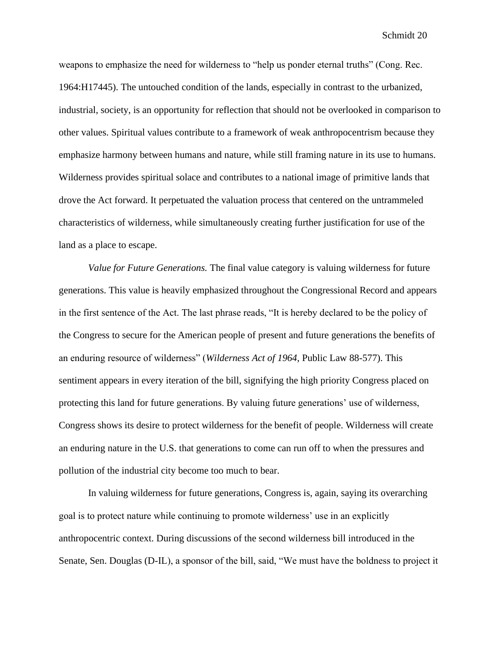weapons to emphasize the need for wilderness to "help us ponder eternal truths" (Cong. Rec. 1964:H17445). The untouched condition of the lands, especially in contrast to the urbanized, industrial, society, is an opportunity for reflection that should not be overlooked in comparison to other values. Spiritual values contribute to a framework of weak anthropocentrism because they emphasize harmony between humans and nature, while still framing nature in its use to humans. Wilderness provides spiritual solace and contributes to a national image of primitive lands that drove the Act forward. It perpetuated the valuation process that centered on the untrammeled characteristics of wilderness, while simultaneously creating further justification for use of the land as a place to escape.

*Value for Future Generations.* The final value category is valuing wilderness for future generations. This value is heavily emphasized throughout the Congressional Record and appears in the first sentence of the Act. The last phrase reads, "It is hereby declared to be the policy of the Congress to secure for the American people of present and future generations the benefits of an enduring resource of wilderness" (*Wilderness Act of 1964*, Public Law 88-577). This sentiment appears in every iteration of the bill, signifying the high priority Congress placed on protecting this land for future generations. By valuing future generations' use of wilderness, Congress shows its desire to protect wilderness for the benefit of people. Wilderness will create an enduring nature in the U.S. that generations to come can run off to when the pressures and pollution of the industrial city become too much to bear.

In valuing wilderness for future generations, Congress is, again, saying its overarching goal is to protect nature while continuing to promote wilderness' use in an explicitly anthropocentric context. During discussions of the second wilderness bill introduced in the Senate, Sen. Douglas (D-IL), a sponsor of the bill, said, "We must have the boldness to project it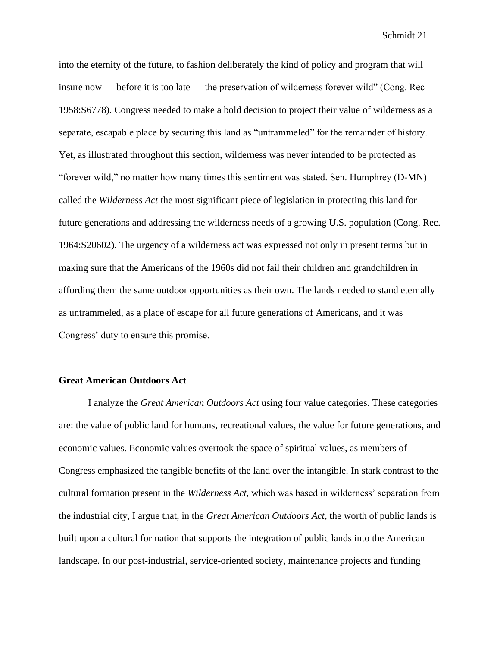into the eternity of the future, to fashion deliberately the kind of policy and program that will insure now — before it is too late — the preservation of wilderness forever wild" (Cong. Rec 1958:S6778). Congress needed to make a bold decision to project their value of wilderness as a separate, escapable place by securing this land as "untrammeled" for the remainder of history. Yet, as illustrated throughout this section, wilderness was never intended to be protected as "forever wild," no matter how many times this sentiment was stated. Sen. Humphrey (D-MN) called the *Wilderness Act* the most significant piece of legislation in protecting this land for future generations and addressing the wilderness needs of a growing U.S. population (Cong. Rec. 1964:S20602). The urgency of a wilderness act was expressed not only in present terms but in making sure that the Americans of the 1960s did not fail their children and grandchildren in affording them the same outdoor opportunities as their own. The lands needed to stand eternally as untrammeled, as a place of escape for all future generations of Americans, and it was Congress' duty to ensure this promise.

## **Great American Outdoors Act**

I analyze the *Great American Outdoors Act* using four value categories. These categories are: the value of public land for humans, recreational values, the value for future generations, and economic values. Economic values overtook the space of spiritual values, as members of Congress emphasized the tangible benefits of the land over the intangible. In stark contrast to the cultural formation present in the *Wilderness Act*, which was based in wilderness' separation from the industrial city, I argue that, in the *Great American Outdoors Act*, the worth of public lands is built upon a cultural formation that supports the integration of public lands into the American landscape. In our post-industrial, service-oriented society, maintenance projects and funding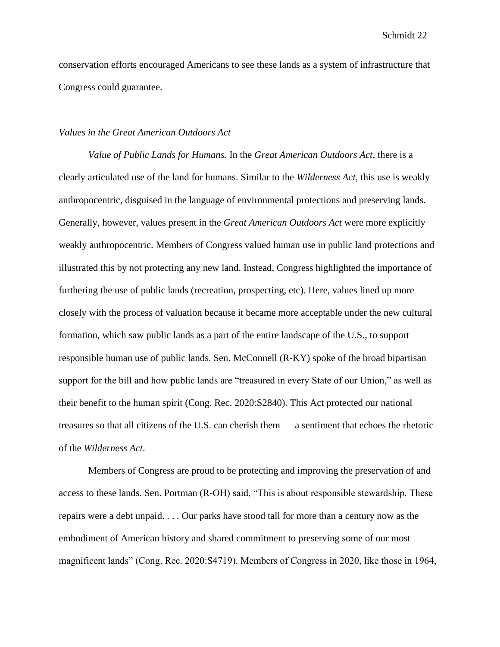conservation efforts encouraged Americans to see these lands as a system of infrastructure that Congress could guarantee.

# *Values in the Great American Outdoors Act*

*Value of Public Lands for Humans.* In the *Great American Outdoors Act*, there is a clearly articulated use of the land for humans. Similar to the *Wilderness Act*, this use is weakly anthropocentric, disguised in the language of environmental protections and preserving lands. Generally, however, values present in the *Great American Outdoors Act* were more explicitly weakly anthropocentric. Members of Congress valued human use in public land protections and illustrated this by not protecting any new land. Instead, Congress highlighted the importance of furthering the use of public lands (recreation, prospecting, etc). Here, values lined up more closely with the process of valuation because it became more acceptable under the new cultural formation, which saw public lands as a part of the entire landscape of the U.S., to support responsible human use of public lands. Sen. McConnell (R-KY) spoke of the broad bipartisan support for the bill and how public lands are "treasured in every State of our Union," as well as their benefit to the human spirit (Cong. Rec. 2020:S2840). This Act protected our national treasures so that all citizens of the U.S. can cherish them — a sentiment that echoes the rhetoric of the *Wilderness Act*.

Members of Congress are proud to be protecting and improving the preservation of and access to these lands. Sen. Portman (R-OH) said, "This is about responsible stewardship. These repairs were a debt unpaid. . . . Our parks have stood tall for more than a century now as the embodiment of American history and shared commitment to preserving some of our most magnificent lands" (Cong. Rec. 2020:S4719). Members of Congress in 2020, like those in 1964,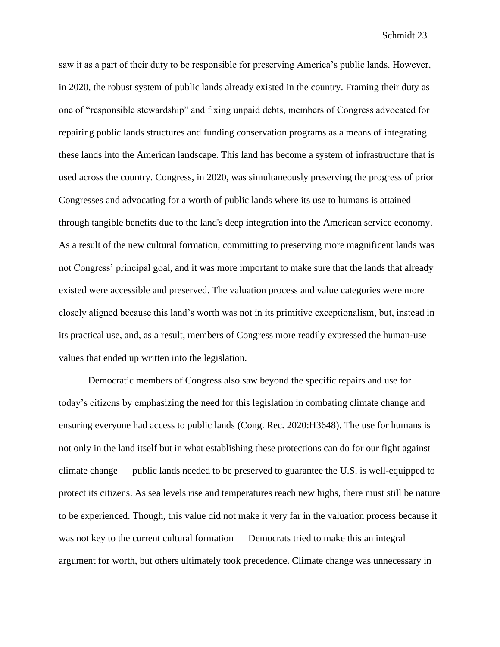saw it as a part of their duty to be responsible for preserving America's public lands. However, in 2020, the robust system of public lands already existed in the country. Framing their duty as one of "responsible stewardship" and fixing unpaid debts, members of Congress advocated for repairing public lands structures and funding conservation programs as a means of integrating these lands into the American landscape. This land has become a system of infrastructure that is used across the country. Congress, in 2020, was simultaneously preserving the progress of prior Congresses and advocating for a worth of public lands where its use to humans is attained through tangible benefits due to the land's deep integration into the American service economy. As a result of the new cultural formation, committing to preserving more magnificent lands was not Congress' principal goal, and it was more important to make sure that the lands that already existed were accessible and preserved. The valuation process and value categories were more closely aligned because this land's worth was not in its primitive exceptionalism, but, instead in its practical use, and, as a result, members of Congress more readily expressed the human-use values that ended up written into the legislation.

Democratic members of Congress also saw beyond the specific repairs and use for today's citizens by emphasizing the need for this legislation in combating climate change and ensuring everyone had access to public lands (Cong. Rec. 2020:H3648). The use for humans is not only in the land itself but in what establishing these protections can do for our fight against climate change — public lands needed to be preserved to guarantee the U.S. is well-equipped to protect its citizens. As sea levels rise and temperatures reach new highs, there must still be nature to be experienced. Though, this value did not make it very far in the valuation process because it was not key to the current cultural formation — Democrats tried to make this an integral argument for worth, but others ultimately took precedence. Climate change was unnecessary in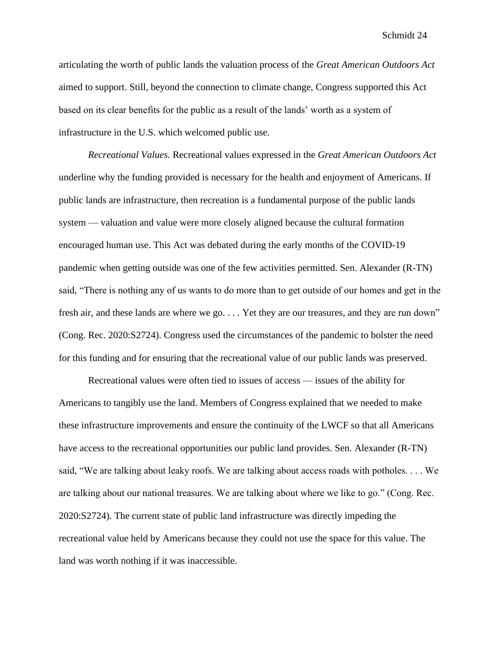articulating the worth of public lands the valuation process of the *Great American Outdoors Act*  aimed to support. Still, beyond the connection to climate change, Congress supported this Act based on its clear benefits for the public as a result of the lands' worth as a system of infrastructure in the U.S. which welcomed public use.

*Recreational Values.* Recreational values expressed in the *Great American Outdoors Act*  underline why the funding provided is necessary for the health and enjoyment of Americans. If public lands are infrastructure, then recreation is a fundamental purpose of the public lands system — valuation and value were more closely aligned because the cultural formation encouraged human use. This Act was debated during the early months of the COVID-19 pandemic when getting outside was one of the few activities permitted. Sen. Alexander (R-TN) said, "There is nothing any of us wants to do more than to get outside of our homes and get in the fresh air, and these lands are where we go. . . . Yet they are our treasures, and they are run down" (Cong. Rec. 2020:S2724). Congress used the circumstances of the pandemic to bolster the need for this funding and for ensuring that the recreational value of our public lands was preserved.

Recreational values were often tied to issues of access — issues of the ability for Americans to tangibly use the land. Members of Congress explained that we needed to make these infrastructure improvements and ensure the continuity of the LWCF so that all Americans have access to the recreational opportunities our public land provides. Sen. Alexander (R-TN) said, "We are talking about leaky roofs. We are talking about access roads with potholes. . . . We are talking about our national treasures. We are talking about where we like to go." (Cong. Rec. 2020:S2724). The current state of public land infrastructure was directly impeding the recreational value held by Americans because they could not use the space for this value. The land was worth nothing if it was inaccessible.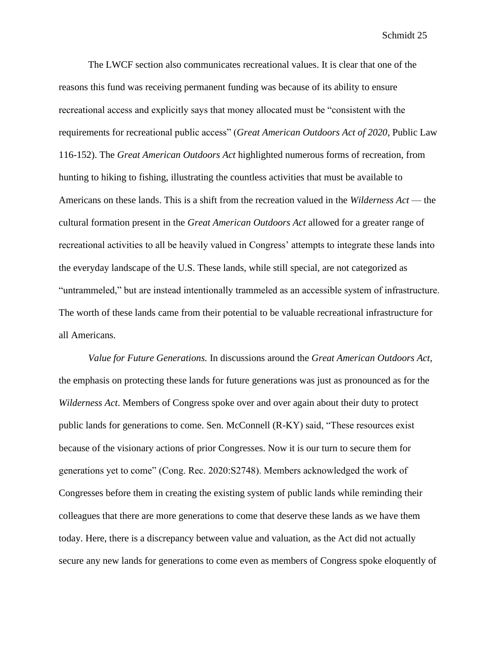The LWCF section also communicates recreational values. It is clear that one of the reasons this fund was receiving permanent funding was because of its ability to ensure recreational access and explicitly says that money allocated must be "consistent with the requirements for recreational public access" (*Great American Outdoors Act of 2020*, Public Law 116-152). The *Great American Outdoors Act* highlighted numerous forms of recreation, from hunting to hiking to fishing, illustrating the countless activities that must be available to Americans on these lands. This is a shift from the recreation valued in the *Wilderness Act* — the cultural formation present in the *Great American Outdoors Act* allowed for a greater range of recreational activities to all be heavily valued in Congress' attempts to integrate these lands into the everyday landscape of the U.S. These lands, while still special, are not categorized as "untrammeled," but are instead intentionally trammeled as an accessible system of infrastructure. The worth of these lands came from their potential to be valuable recreational infrastructure for all Americans.

*Value for Future Generations.* In discussions around the *Great American Outdoors Act*, the emphasis on protecting these lands for future generations was just as pronounced as for the *Wilderness Act*. Members of Congress spoke over and over again about their duty to protect public lands for generations to come. Sen. McConnell (R-KY) said, "These resources exist because of the visionary actions of prior Congresses. Now it is our turn to secure them for generations yet to come" (Cong. Rec. 2020:S2748). Members acknowledged the work of Congresses before them in creating the existing system of public lands while reminding their colleagues that there are more generations to come that deserve these lands as we have them today. Here, there is a discrepancy between value and valuation, as the Act did not actually secure any new lands for generations to come even as members of Congress spoke eloquently of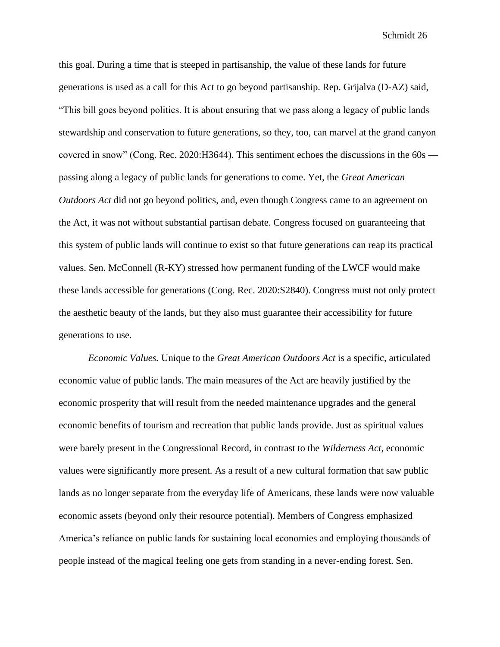this goal. During a time that is steeped in partisanship, the value of these lands for future generations is used as a call for this Act to go beyond partisanship. Rep. Grijalva (D-AZ) said, "This bill goes beyond politics. It is about ensuring that we pass along a legacy of public lands stewardship and conservation to future generations, so they, too, can marvel at the grand canyon covered in snow" (Cong. Rec. 2020:H3644). This sentiment echoes the discussions in the 60s passing along a legacy of public lands for generations to come. Yet, the *Great American Outdoors Act* did not go beyond politics, and, even though Congress came to an agreement on the Act, it was not without substantial partisan debate. Congress focused on guaranteeing that this system of public lands will continue to exist so that future generations can reap its practical values. Sen. McConnell (R-KY) stressed how permanent funding of the LWCF would make these lands accessible for generations (Cong. Rec. 2020:S2840). Congress must not only protect the aesthetic beauty of the lands, but they also must guarantee their accessibility for future generations to use.

*Economic Values.* Unique to the *Great American Outdoors Act* is a specific, articulated economic value of public lands. The main measures of the Act are heavily justified by the economic prosperity that will result from the needed maintenance upgrades and the general economic benefits of tourism and recreation that public lands provide. Just as spiritual values were barely present in the Congressional Record, in contrast to the *Wilderness Act*, economic values were significantly more present. As a result of a new cultural formation that saw public lands as no longer separate from the everyday life of Americans, these lands were now valuable economic assets (beyond only their resource potential). Members of Congress emphasized America's reliance on public lands for sustaining local economies and employing thousands of people instead of the magical feeling one gets from standing in a never-ending forest. Sen.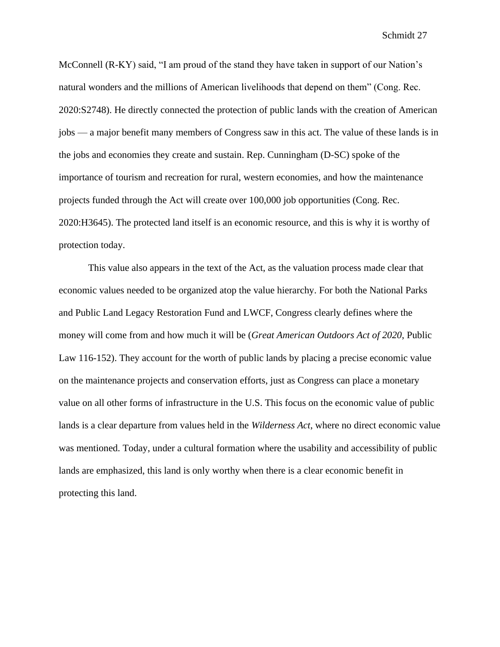McConnell (R-KY) said, "I am proud of the stand they have taken in support of our Nation's natural wonders and the millions of American livelihoods that depend on them" (Cong. Rec. 2020:S2748). He directly connected the protection of public lands with the creation of American jobs — a major benefit many members of Congress saw in this act. The value of these lands is in the jobs and economies they create and sustain. Rep. Cunningham (D-SC) spoke of the importance of tourism and recreation for rural, western economies, and how the maintenance projects funded through the Act will create over 100,000 job opportunities (Cong. Rec. 2020:H3645). The protected land itself is an economic resource, and this is why it is worthy of protection today.

This value also appears in the text of the Act, as the valuation process made clear that economic values needed to be organized atop the value hierarchy. For both the National Parks and Public Land Legacy Restoration Fund and LWCF, Congress clearly defines where the money will come from and how much it will be (*Great American Outdoors Act of 2020*, Public Law 116-152). They account for the worth of public lands by placing a precise economic value on the maintenance projects and conservation efforts, just as Congress can place a monetary value on all other forms of infrastructure in the U.S. This focus on the economic value of public lands is a clear departure from values held in the *Wilderness Act*, where no direct economic value was mentioned. Today, under a cultural formation where the usability and accessibility of public lands are emphasized, this land is only worthy when there is a clear economic benefit in protecting this land.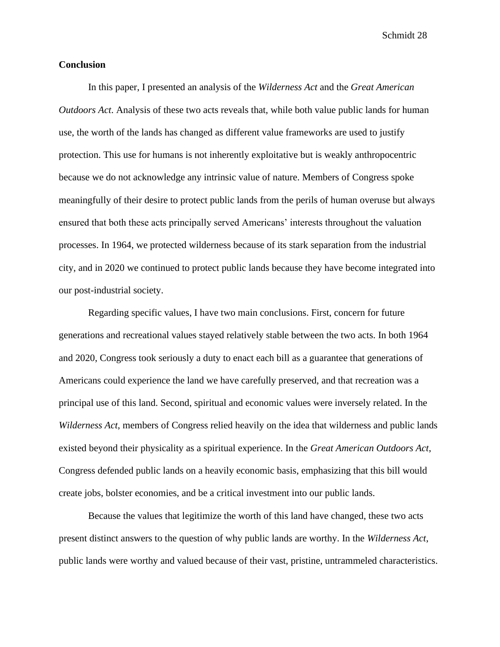# **Conclusion**

In this paper, I presented an analysis of the *Wilderness Act* and the *Great American Outdoors Act*. Analysis of these two acts reveals that, while both value public lands for human use, the worth of the lands has changed as different value frameworks are used to justify protection. This use for humans is not inherently exploitative but is weakly anthropocentric because we do not acknowledge any intrinsic value of nature. Members of Congress spoke meaningfully of their desire to protect public lands from the perils of human overuse but always ensured that both these acts principally served Americans' interests throughout the valuation processes. In 1964, we protected wilderness because of its stark separation from the industrial city, and in 2020 we continued to protect public lands because they have become integrated into our post-industrial society.

Regarding specific values, I have two main conclusions. First, concern for future generations and recreational values stayed relatively stable between the two acts. In both 1964 and 2020, Congress took seriously a duty to enact each bill as a guarantee that generations of Americans could experience the land we have carefully preserved, and that recreation was a principal use of this land. Second, spiritual and economic values were inversely related. In the *Wilderness Act*, members of Congress relied heavily on the idea that wilderness and public lands existed beyond their physicality as a spiritual experience. In the *Great American Outdoors Act*, Congress defended public lands on a heavily economic basis, emphasizing that this bill would create jobs, bolster economies, and be a critical investment into our public lands.

Because the values that legitimize the worth of this land have changed, these two acts present distinct answers to the question of why public lands are worthy. In the *Wilderness Act*, public lands were worthy and valued because of their vast, pristine, untrammeled characteristics.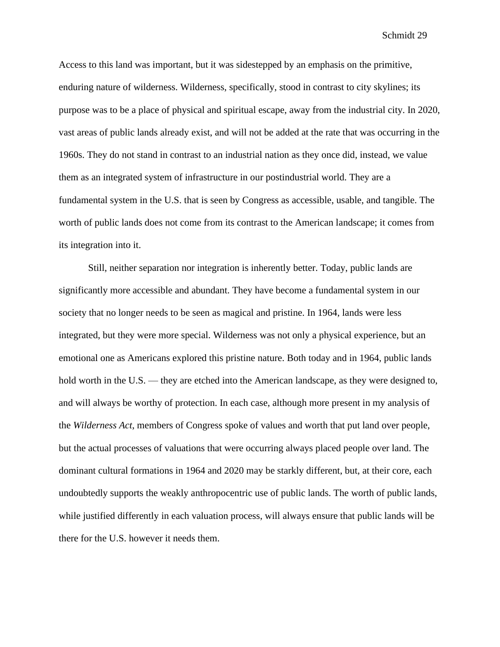Access to this land was important, but it was sidestepped by an emphasis on the primitive, enduring nature of wilderness. Wilderness, specifically, stood in contrast to city skylines; its purpose was to be a place of physical and spiritual escape, away from the industrial city. In 2020, vast areas of public lands already exist, and will not be added at the rate that was occurring in the 1960s. They do not stand in contrast to an industrial nation as they once did, instead, we value them as an integrated system of infrastructure in our postindustrial world. They are a fundamental system in the U.S. that is seen by Congress as accessible, usable, and tangible. The worth of public lands does not come from its contrast to the American landscape; it comes from its integration into it.

Still, neither separation nor integration is inherently better. Today, public lands are significantly more accessible and abundant. They have become a fundamental system in our society that no longer needs to be seen as magical and pristine. In 1964, lands were less integrated, but they were more special. Wilderness was not only a physical experience, but an emotional one as Americans explored this pristine nature. Both today and in 1964, public lands hold worth in the U.S. — they are etched into the American landscape, as they were designed to, and will always be worthy of protection. In each case, although more present in my analysis of the *Wilderness Act*, members of Congress spoke of values and worth that put land over people, but the actual processes of valuations that were occurring always placed people over land. The dominant cultural formations in 1964 and 2020 may be starkly different, but, at their core, each undoubtedly supports the weakly anthropocentric use of public lands. The worth of public lands, while justified differently in each valuation process, will always ensure that public lands will be there for the U.S. however it needs them.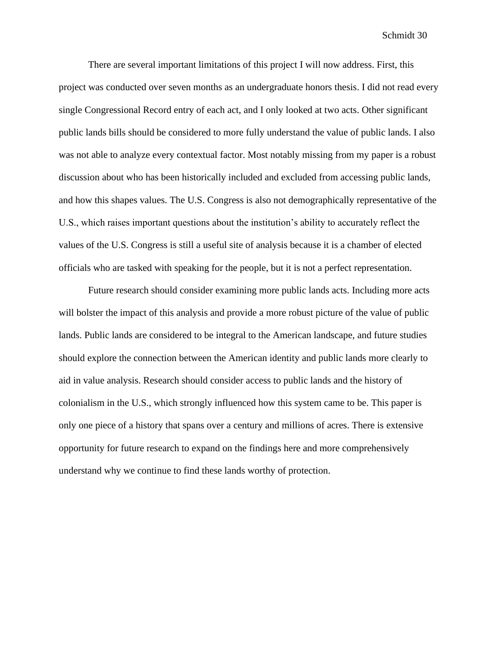There are several important limitations of this project I will now address. First, this project was conducted over seven months as an undergraduate honors thesis. I did not read every single Congressional Record entry of each act, and I only looked at two acts. Other significant public lands bills should be considered to more fully understand the value of public lands. I also was not able to analyze every contextual factor. Most notably missing from my paper is a robust discussion about who has been historically included and excluded from accessing public lands, and how this shapes values. The U.S. Congress is also not demographically representative of the U.S., which raises important questions about the institution's ability to accurately reflect the values of the U.S. Congress is still a useful site of analysis because it is a chamber of elected officials who are tasked with speaking for the people, but it is not a perfect representation.

Future research should consider examining more public lands acts. Including more acts will bolster the impact of this analysis and provide a more robust picture of the value of public lands. Public lands are considered to be integral to the American landscape, and future studies should explore the connection between the American identity and public lands more clearly to aid in value analysis. Research should consider access to public lands and the history of colonialism in the U.S., which strongly influenced how this system came to be. This paper is only one piece of a history that spans over a century and millions of acres. There is extensive opportunity for future research to expand on the findings here and more comprehensively understand why we continue to find these lands worthy of protection.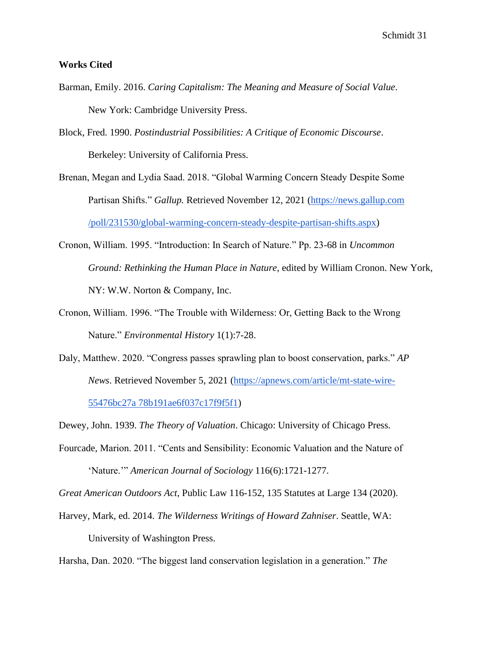# **Works Cited**

- Barman, Emily. 2016. *Caring Capitalism: The Meaning and Measure of Social Value*. New York: Cambridge University Press.
- Block, Fred. 1990. *Postindustrial Possibilities: A Critique of Economic Discourse*. Berkeley: University of California Press.
- Brenan, Megan and Lydia Saad. 2018. "Global Warming Concern Steady Despite Some Partisan Shifts." *Gallup.* Retrieved November 12, 2021 [\(https://news.gallup.com](https://news.gallup.com/poll/231530/global-warming-concern-steady-despite-partisan-shifts.aspx)  [/poll/231530/global-warming-concern-steady-despite-partisan-shifts.aspx\)](https://news.gallup.com/poll/231530/global-warming-concern-steady-despite-partisan-shifts.aspx)
- Cronon, William. 1995. "Introduction: In Search of Nature." Pp. 23-68 in *Uncommon Ground: Rethinking the Human Place in Nature*, edited by William Cronon. New York, NY: W.W. Norton & Company, Inc.
- Cronon, William. 1996. "The Trouble with Wilderness: Or, Getting Back to the Wrong Nature." *Environmental History* 1(1):7-28.
- Daly, Matthew. 2020. "Congress passes sprawling plan to boost conservation, parks." *AP News*. Retrieved November 5, 2021 [\(https://apnews.com/article/mt-state-wire-](https://apnews.com/article/mt-state-wire-55476bc27a78b191ae6f037c17f9f5f1)

[55476bc27a 78b191ae6f037c17f9f5f1\)](https://apnews.com/article/mt-state-wire-55476bc27a78b191ae6f037c17f9f5f1)

- Dewey, John. 1939. *The Theory of Valuation*. Chicago: University of Chicago Press.
- Fourcade, Marion. 2011. "Cents and Sensibility: Economic Valuation and the Nature of 'Nature.'" *American Journal of Sociology* 116(6):1721-1277.

*Great American Outdoors Act*, Public Law 116-152, 135 Statutes at Large 134 (2020).

Harvey, Mark, ed. 2014. *The Wilderness Writings of Howard Zahniser*. Seattle, WA: University of Washington Press.

Harsha, Dan. 2020. "The biggest land conservation legislation in a generation." *The*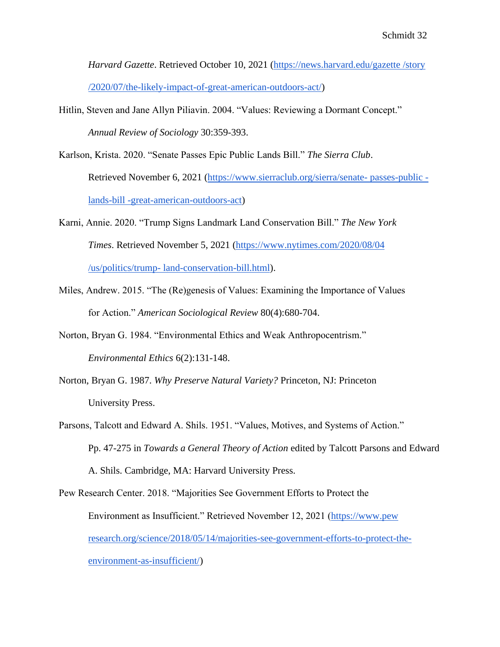*Harvard Gazette*. Retrieved October 10, 2021 [\(https://news.harvard.edu/gazette /story](https://news.harvard.edu/gazette/story/2020/07/the-likely-impact-of-great-american-outdoors-act/)  [/2020/07/the-likely-impact-of-great-american-outdoors-act/\)](https://news.harvard.edu/gazette/story/2020/07/the-likely-impact-of-great-american-outdoors-act/)

Hitlin, Steven and Jane Allyn Piliavin. 2004. "Values: Reviewing a Dormant Concept." *Annual Review of Sociology* 30:359-393.

Karlson, Krista. 2020. "Senate Passes Epic Public Lands Bill." *The Sierra Club*. Retrieved November 6, 2021 [\(https://www.sierraclub.org/sierra/senate-](https://www.sierraclub.org/sierra/senate-passes-public-lands-bill-great-american-outdoors-act) passes-public [lands-bill -great-american-outdoors-act\)](https://www.sierraclub.org/sierra/senate-passes-public-lands-bill-great-american-outdoors-act)

- Karni, Annie. 2020. "Trump Signs Landmark Land Conservation Bill." *The New York Times*. Retrieved November 5, 2021 [\(https://www.nytimes.com/2020/08/04](https://www.nytimes.com/2020/08/04/us/politics/trump-land-conservation-bill.html)  /us/politics/trump- [land-conservation-bill.html\)](https://www.nytimes.com/2020/08/04/us/politics/trump-land-conservation-bill.html).
- Miles, Andrew. 2015. "The (Re)genesis of Values: Examining the Importance of Values for Action." *American Sociological Review* 80(4):680-704.
- Norton, Bryan G. 1984. "Environmental Ethics and Weak Anthropocentrism." *Environmental Ethics* 6(2):131-148.
- Norton, Bryan G. 1987. *Why Preserve Natural Variety?* Princeton, NJ: Princeton University Press.
- Parsons, Talcott and Edward A. Shils. 1951. "Values, Motives, and Systems of Action." Pp. 47-275 in *Towards a General Theory of Action* edited by Talcott Parsons and Edward A. Shils. Cambridge, MA: Harvard University Press.

Pew Research Center. 2018. "Majorities See Government Efforts to Protect the Environment as Insufficient." Retrieved November 12, 2021 [\(https://www.pew](https://www.pewresearch.org/science/2018/05/14/majorities-see-government-efforts-to-protect-the-environment-as-insufficient/)  [research.org/science/2018/05/14/majorities-see-government-efforts-to-protect-the](https://www.pewresearch.org/science/2018/05/14/majorities-see-government-efforts-to-protect-the-environment-as-insufficient/)[environment-as-insufficient/\)](https://www.pewresearch.org/science/2018/05/14/majorities-see-government-efforts-to-protect-the-environment-as-insufficient/)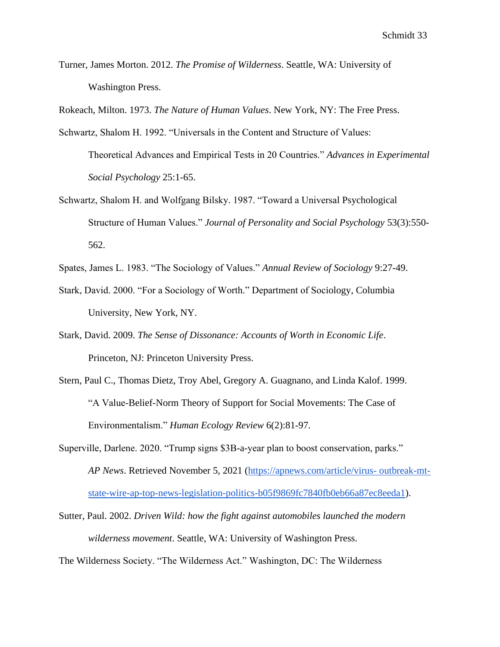Turner, James Morton. 2012. *The Promise of Wilderness*. Seattle, WA: University of Washington Press.

Rokeach, Milton. 1973. *The Nature of Human Values*. New York, NY: The Free Press.

- Schwartz, Shalom H. 1992. "Universals in the Content and Structure of Values: Theoretical Advances and Empirical Tests in 20 Countries." *Advances in Experimental Social Psychology* 25:1-65.
- Schwartz, Shalom H. and Wolfgang Bilsky. 1987. "Toward a Universal Psychological Structure of Human Values." *Journal of Personality and Social Psychology* 53(3):550- 562.

Spates, James L. 1983. "The Sociology of Values." *Annual Review of Sociology* 9:27-49.

- Stark, David. 2000. "For a Sociology of Worth." Department of Sociology, Columbia University, New York, NY.
- Stark, David. 2009. *The Sense of Dissonance: Accounts of Worth in Economic Life*. Princeton, NJ: Princeton University Press.
- Stern, Paul C., Thomas Dietz, Troy Abel, Gregory A. Guagnano, and Linda Kalof. 1999. "A Value-Belief-Norm Theory of Support for Social Movements: The Case of Environmentalism." *Human Ecology Review* 6(2):81-97.
- Superville, Darlene. 2020. "Trump signs \$3B-a-year plan to boost conservation, parks." *AP News*. Retrieved November 5, 2021 [\(https://apnews.com/article/virus-](https://apnews.com/article/virus-outbreak-mt-state-wire-ap-top-news-legislation-politics-b05f9869fc7840fb0eb66a87ec8eeda1) outbreak-mt[state-wire-ap-top-news-legislation-politics-b05f9869fc7840fb0eb66a87ec8eeda1\)](https://apnews.com/article/virus-outbreak-mt-state-wire-ap-top-news-legislation-politics-b05f9869fc7840fb0eb66a87ec8eeda1).
- Sutter, Paul. 2002. *Driven Wild: how the fight against automobiles launched the modern wilderness movement*. Seattle, WA: University of Washington Press.

The Wilderness Society. "The Wilderness Act." Washington, DC: The Wilderness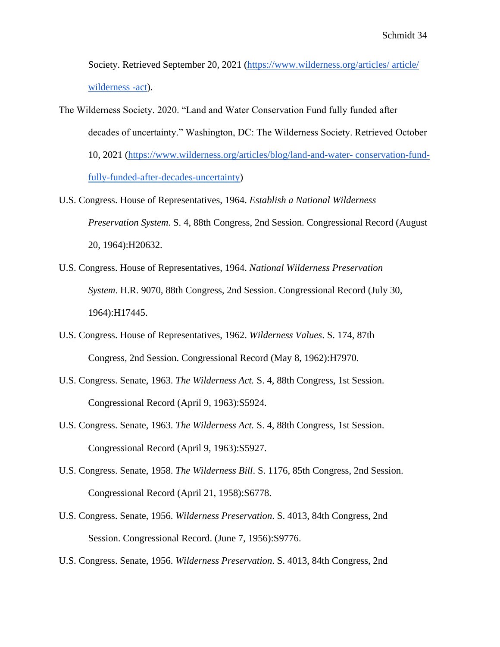Society. Retrieved September 20, 2021 [\(https://www.wilderness.org/articles/ article/](https://www.wilderness.org/articles/article/wilderness-act)  [wilderness -act\)](https://www.wilderness.org/articles/article/wilderness-act).

- The Wilderness Society. 2020. "Land and Water Conservation Fund fully funded after decades of uncertainty." Washington, DC: The Wilderness Society. Retrieved October 10, 2021 [\(https://www.wilderness.org/articles/blog/land-and-water-](https://www.wilderness.org/articles/blog/land-and-water-conservation-fund-fully-funded-after-decades-uncertainty) conservation-fund[fully-funded-after-decades-uncertainty\)](https://www.wilderness.org/articles/blog/land-and-water-conservation-fund-fully-funded-after-decades-uncertainty)
- U.S. Congress. House of Representatives, 1964. *Establish a National Wilderness Preservation System*. S. 4, 88th Congress, 2nd Session. Congressional Record (August 20, 1964):H20632.
- U.S. Congress. House of Representatives, 1964. *National Wilderness Preservation System*. H.R. 9070, 88th Congress, 2nd Session. Congressional Record (July 30, 1964):H17445.
- U.S. Congress. House of Representatives, 1962. *Wilderness Values*. S. 174, 87th Congress, 2nd Session. Congressional Record (May 8, 1962):H7970.
- U.S. Congress. Senate, 1963. *The Wilderness Act.* S. 4, 88th Congress, 1st Session. Congressional Record (April 9, 1963):S5924.
- U.S. Congress. Senate, 1963. *The Wilderness Act.* S. 4, 88th Congress, 1st Session. Congressional Record (April 9, 1963):S5927.
- U.S. Congress. Senate, 1958. *The Wilderness Bill*. S. 1176, 85th Congress, 2nd Session. Congressional Record (April 21, 1958):S6778.
- U.S. Congress. Senate, 1956. *Wilderness Preservation*. S. 4013, 84th Congress, 2nd Session. Congressional Record. (June 7, 1956):S9776.
- U.S. Congress. Senate, 1956. *Wilderness Preservation*. S. 4013, 84th Congress, 2nd